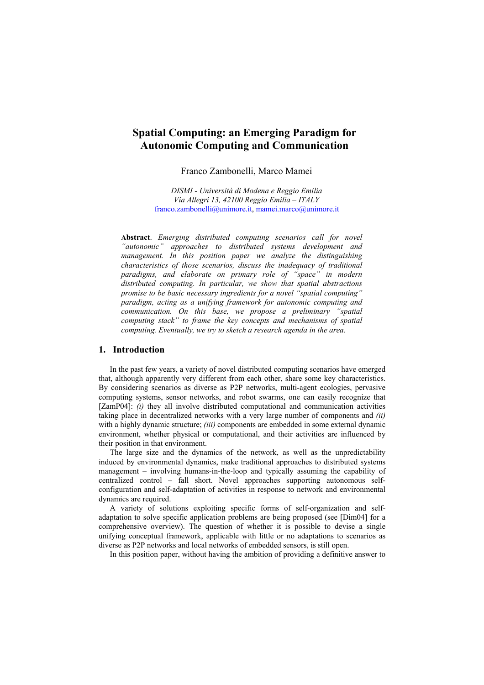# **Spatial Computing: an Emerging Paradigm for Autonomic Computing and Communication**

Franco Zambonelli, Marco Mamei

*DISMI - Università di Modena e Reggio Emilia Via Allegri 13, 42100 Reggio Emilia – ITALY*  franco.zambonelli@unimore.it, mamei.marco@unimore.it

**Abstract**. *Emerging distributed computing scenarios call for novel "autonomic" approaches to distributed systems development and management. In this position paper we analyze the distinguishing characteristics of those scenarios, discuss the inadequacy of traditional paradigms, and elaborate on primary role of "space" in modern distributed computing. In particular, we show that spatial abstractions promise to be basic necessary ingredients for a novel "spatial computing" paradigm, acting as a unifying framework for autonomic computing and communication. On this base, we propose a preliminary "spatial computing stack" to frame the key concepts and mechanisms of spatial computing. Eventually, we try to sketch a research agenda in the area.* 

#### **1. Introduction**

In the past few years, a variety of novel distributed computing scenarios have emerged that, although apparently very different from each other, share some key characteristics. By considering scenarios as diverse as P2P networks, multi-agent ecologies, pervasive computing systems, sensor networks, and robot swarms, one can easily recognize that [ZamP04]: *(i)* they all involve distributed computational and communication activities taking place in decentralized networks with a very large number of components and *(ii)* with a highly dynamic structure; *(iii)* components are embedded in some external dynamic environment, whether physical or computational, and their activities are influenced by their position in that environment.

The large size and the dynamics of the network, as well as the unpredictability induced by environmental dynamics, make traditional approaches to distributed systems management – involving humans-in-the-loop and typically assuming the capability of centralized control – fall short. Novel approaches supporting autonomous selfconfiguration and self-adaptation of activities in response to network and environmental dynamics are required.

A variety of solutions exploiting specific forms of self-organization and selfadaptation to solve specific application problems are being proposed (see [Dim04] for a comprehensive overview). The question of whether it is possible to devise a single unifying conceptual framework, applicable with little or no adaptations to scenarios as diverse as P2P networks and local networks of embedded sensors, is still open.

In this position paper, without having the ambition of providing a definitive answer to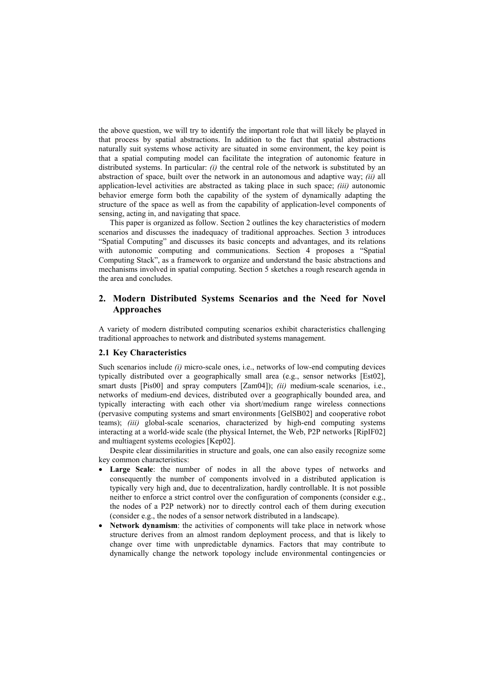the above question, we will try to identify the important role that will likely be played in that process by spatial abstractions. In addition to the fact that spatial abstractions naturally suit systems whose activity are situated in some environment, the key point is that a spatial computing model can facilitate the integration of autonomic feature in distributed systems. In particular: *(i)* the central role of the network is substituted by an abstraction of space, built over the network in an autonomous and adaptive way; *(ii)* all application-level activities are abstracted as taking place in such space; *(iii)* autonomic behavior emerge form both the capability of the system of dynamically adapting the structure of the space as well as from the capability of application-level components of sensing, acting in, and navigating that space.

This paper is organized as follow. Section 2 outlines the key characteristics of modern scenarios and discusses the inadequacy of traditional approaches. Section 3 introduces "Spatial Computing" and discusses its basic concepts and advantages, and its relations with autonomic computing and communications. Section 4 proposes a "Spatial Computing Stack", as a framework to organize and understand the basic abstractions and mechanisms involved in spatial computing. Section 5 sketches a rough research agenda in the area and concludes.

## **2. Modern Distributed Systems Scenarios and the Need for Novel Approaches**

A variety of modern distributed computing scenarios exhibit characteristics challenging traditional approaches to network and distributed systems management.

#### **2.1 Key Characteristics**

Such scenarios include *(i)* micro-scale ones, i.e., networks of low-end computing devices typically distributed over a geographically small area (e.g., sensor networks [Est02], smart dusts [Pis00] and spray computers [Zam04]); *(ii)* medium-scale scenarios, i.e., networks of medium-end devices, distributed over a geographically bounded area, and typically interacting with each other via short/medium range wireless connections (pervasive computing systems and smart environments [GelSB02] and cooperative robot teams); *(iii)* global-scale scenarios, characterized by high-end computing systems interacting at a world-wide scale (the physical Internet, the Web, P2P networks [RipIF02] and multiagent systems ecologies [Kep02].

Despite clear dissimilarities in structure and goals, one can also easily recognize some key common characteristics:

- **Large Scale**: the number of nodes in all the above types of networks and consequently the number of components involved in a distributed application is typically very high and, due to decentralization, hardly controllable. It is not possible neither to enforce a strict control over the configuration of components (consider e.g., the nodes of a P2P network) nor to directly control each of them during execution (consider e.g., the nodes of a sensor network distributed in a landscape).
- **Network dynamism**: the activities of components will take place in network whose structure derives from an almost random deployment process, and that is likely to change over time with unpredictable dynamics. Factors that may contribute to dynamically change the network topology include environmental contingencies or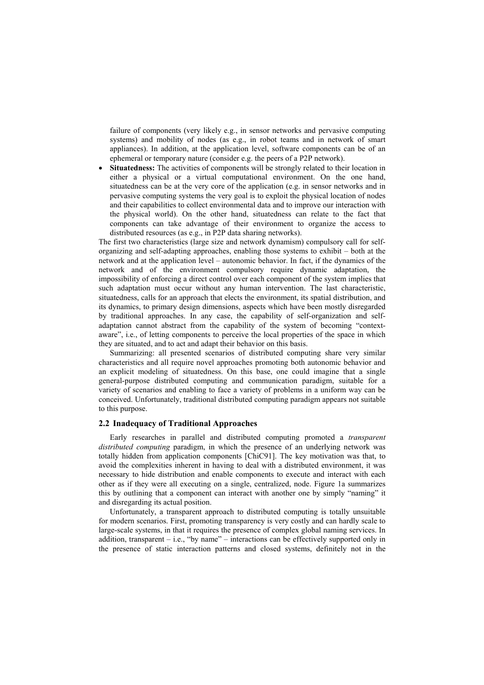failure of components (very likely e.g., in sensor networks and pervasive computing systems) and mobility of nodes (as e.g., in robot teams and in network of smart appliances). In addition, at the application level, software components can be of an ephemeral or temporary nature (consider e.g. the peers of a P2P network).

**Situatedness:** The activities of components will be strongly related to their location in either a physical or a virtual computational environment. On the one hand, situatedness can be at the very core of the application (e.g. in sensor networks and in pervasive computing systems the very goal is to exploit the physical location of nodes and their capabilities to collect environmental data and to improve our interaction with the physical world). On the other hand, situatedness can relate to the fact that components can take advantage of their environment to organize the access to distributed resources (as e.g., in P2P data sharing networks).

The first two characteristics (large size and network dynamism) compulsory call for selforganizing and self-adapting approaches, enabling those systems to exhibit – both at the network and at the application level – autonomic behavior. In fact, if the dynamics of the network and of the environment compulsory require dynamic adaptation, the impossibility of enforcing a direct control over each component of the system implies that such adaptation must occur without any human intervention. The last characteristic, situatedness, calls for an approach that elects the environment, its spatial distribution, and its dynamics, to primary design dimensions, aspects which have been mostly disregarded by traditional approaches. In any case, the capability of self-organization and selfadaptation cannot abstract from the capability of the system of becoming "contextaware", i.e., of letting components to perceive the local properties of the space in which they are situated, and to act and adapt their behavior on this basis.

Summarizing: all presented scenarios of distributed computing share very similar characteristics and all require novel approaches promoting both autonomic behavior and an explicit modeling of situatedness. On this base, one could imagine that a single general-purpose distributed computing and communication paradigm, suitable for a variety of scenarios and enabling to face a variety of problems in a uniform way can be conceived. Unfortunately, traditional distributed computing paradigm appears not suitable to this purpose.

#### **2.2 Inadequacy of Traditional Approaches**

Early researches in parallel and distributed computing promoted a *transparent distributed computing* paradigm, in which the presence of an underlying network was totally hidden from application components [ChiC91]. The key motivation was that, to avoid the complexities inherent in having to deal with a distributed environment, it was necessary to hide distribution and enable components to execute and interact with each other as if they were all executing on a single, centralized, node. Figure 1a summarizes this by outlining that a component can interact with another one by simply "naming" it and disregarding its actual position.

Unfortunately, a transparent approach to distributed computing is totally unsuitable for modern scenarios. First, promoting transparency is very costly and can hardly scale to large-scale systems, in that it requires the presence of complex global naming services. In addition, transparent  $-$  i.e., "by name"  $-$  interactions can be effectively supported only in the presence of static interaction patterns and closed systems, definitely not in the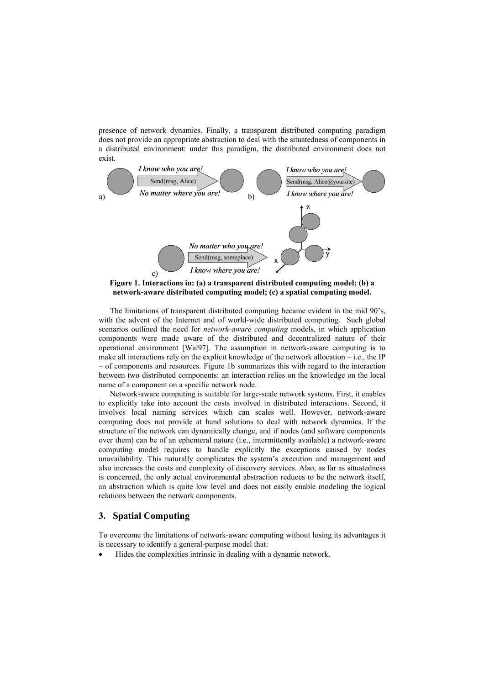presence of network dynamics. Finally, a transparent distributed computing paradigm does not provide an appropriate abstraction to deal with the situatedness of components in a distributed environment: under this paradigm, the distributed environment does not exist.



**Figure 1. Interactions in: (a) a transparent distributed computing model; (b) a network-aware distributed computing model; (c) a spatial computing model.** 

The limitations of transparent distributed computing became evident in the mid 90's, with the advent of the Internet and of world-wide distributed computing. Such global scenarios outlined the need for *network-aware computing* models, in which application components were made aware of the distributed and decentralized nature of their operational environment [Wal97]. The assumption in network-aware computing is to make all interactions rely on the explicit knowledge of the network allocation – i.e., the IP – of components and resources. Figure 1b summarizes this with regard to the interaction between two distributed components: an interaction relies on the knowledge on the local name of a component on a specific network node.

Network-aware computing is suitable for large-scale network systems. First, it enables to explicitly take into account the costs involved in distributed interactions. Second, it involves local naming services which can scales well. However, network-aware computing does not provide at hand solutions to deal with network dynamics. If the structure of the network can dynamically change, and if nodes (and software components over them) can be of an ephemeral nature (i.e., intermittently available) a network-aware computing model requires to handle explicitly the exceptions caused by nodes unavailability. This naturally complicates the system's execution and management and also increases the costs and complexity of discovery services. Also, as far as situatedness is concerned, the only actual environmental abstraction reduces to be the network itself, an abstraction which is quite low level and does not easily enable modeling the logical relations between the network components.

### **3. Spatial Computing**

To overcome the limitations of network-aware computing without losing its advantages it is necessary to identify a general-purpose model that:

• Hides the complexities intrinsic in dealing with a dynamic network.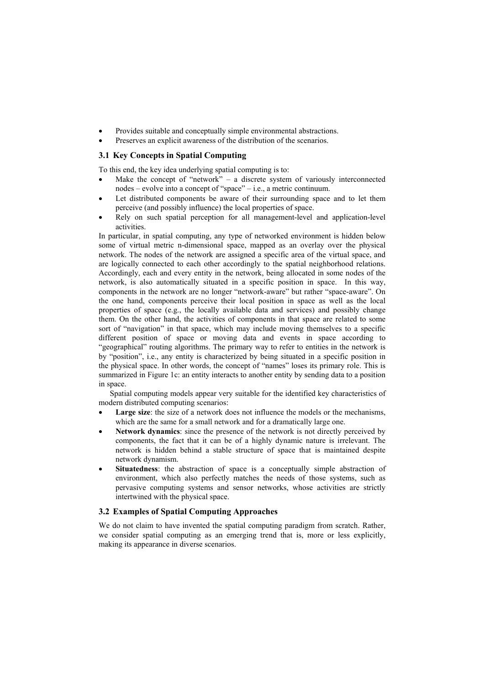- Provides suitable and conceptually simple environmental abstractions.
- Preserves an explicit awareness of the distribution of the scenarios.

#### **3.1 Key Concepts in Spatial Computing**

To this end, the key idea underlying spatial computing is to:

- Make the concept of "network" a discrete system of variously interconnected nodes – evolve into a concept of "space" – i.e., a metric continuum.
- Let distributed components be aware of their surrounding space and to let them perceive (and possibly influence) the local properties of space.
- Rely on such spatial perception for all management-level and application-level activities.

In particular, in spatial computing, any type of networked environment is hidden below some of virtual metric n-dimensional space, mapped as an overlay over the physical network. The nodes of the network are assigned a specific area of the virtual space, and are logically connected to each other accordingly to the spatial neighborhood relations. Accordingly, each and every entity in the network, being allocated in some nodes of the network, is also automatically situated in a specific position in space. In this way, components in the network are no longer "network-aware" but rather "space-aware". On the one hand, components perceive their local position in space as well as the local properties of space (e.g., the locally available data and services) and possibly change them. On the other hand, the activities of components in that space are related to some sort of "navigation" in that space, which may include moving themselves to a specific different position of space or moving data and events in space according to "geographical" routing algorithms. The primary way to refer to entities in the network is by "position", i.e., any entity is characterized by being situated in a specific position in the physical space. In other words, the concept of "names" loses its primary role. This is summarized in Figure 1c: an entity interacts to another entity by sending data to a position in space.

Spatial computing models appear very suitable for the identified key characteristics of modern distributed computing scenarios:

- **Large size**: the size of a network does not influence the models or the mechanisms, which are the same for a small network and for a dramatically large one.
- Network dynamics: since the presence of the network is not directly perceived by components, the fact that it can be of a highly dynamic nature is irrelevant. The network is hidden behind a stable structure of space that is maintained despite network dynamism.
- **Situatedness**: the abstraction of space is a conceptually simple abstraction of environment, which also perfectly matches the needs of those systems, such as pervasive computing systems and sensor networks, whose activities are strictly intertwined with the physical space.

#### **3.2 Examples of Spatial Computing Approaches**

We do not claim to have invented the spatial computing paradigm from scratch. Rather, we consider spatial computing as an emerging trend that is, more or less explicitly, making its appearance in diverse scenarios.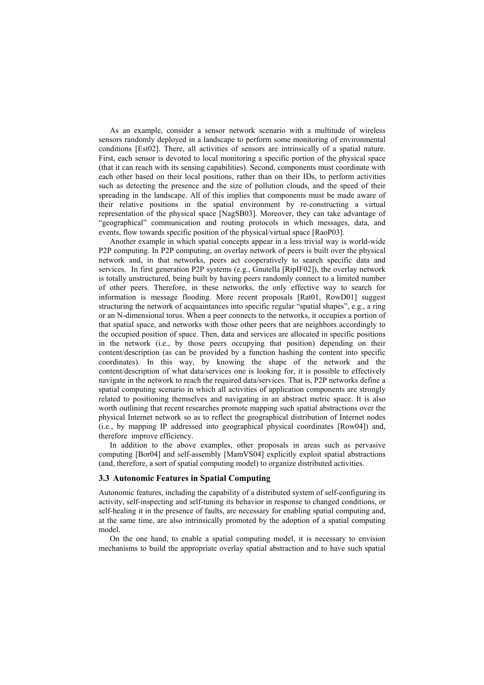As an example, consider a sensor network scenario with a multitude of wireless sensors randomly deployed in a landscape to perform some monitoring of environmental conditions [Est02]. There, all activities of sensors are intrinsically of a spatial nature. First, each sensor is devoted to local monitoring a specific portion of the physical space (that it can reach with its sensing capabilities). Second, components must coordinate with each other based on their local positions, rather than on their IDs, to perform activities such as detecting the presence and the size of pollution clouds, and the speed of their spreading in the landscape. All of this implies that components must be made aware of their relative positions in the spatial environment by re-constructing a virtual representation of the physical space [NagSB03]. Moreover, they can take advantage of "geographical" communication and routing protocols in which messages, data, and events, flow towards specific position of the physical/virtual space [RaoP03].

Another example in which spatial concepts appear in a less trivial way is world-wide P2P computing. In P2P computing, an overlay network of peers is built over the physical network and, in that networks, peers act cooperatively to search specific data and services. In first generation P2P systems (e.g., Gnutella [RipIF02]), the overlay network is totally unstructured, being built by having peers randomly connect to a limited number of other peers. Therefore, in these networks, the only effective way to search for information is message flooding. More recent proposals [Rat01, RowD01] suggest structuring the network of acquaintances into specific regular "spatial shapes", e.g., a ring or an N-dimensional torus. When a peer connects to the networks, it occupies a portion of that spatial space, and networks with those other peers that are neighbors accordingly to the occupied position of space. Then, data and services are allocated in specific positions in the network (i.e., by those peers occupying that position) depending on their content/description (as can be provided by a function hashing the content into specific coordinates). In this way, by knowing the shape of the network and the content/description of what data/services one is looking for, it is possible to effectively navigate in the network to reach the required data/services. That is, P2P networks define a spatial computing scenario in which all activities of application components are strongly related to positioning themselves and navigating in an abstract metric space. It is also worth outlining that recent researches promote mapping such spatial abstractions over the physical Internet network so as to reflect the geographical distribution of Internet nodes (i.e., by mapping IP addressed into geographical physical coordinates [Row04]) and, therefore improve efficiency.

In addition to the above examples, other proposals in areas such as pervasive computing [Bor04] and self-assembly [MamVS04] explicitly exploit spatial abstractions (and, therefore, a sort of spatial computing model) to organize distributed activities.

#### **3.3 Autonomic Features in Spatial Computing**

Autonomic features, including the capability of a distributed system of self-configuring its activity, self-inspecting and self-tuning its behavior in response to changed conditions, or self-healing it in the presence of faults, are necessary for enabling spatial computing and, at the same time, are also intrinsically promoted by the adoption of a spatial computing model.

On the one hand, to enable a spatial computing model, it is necessary to envision mechanisms to build the appropriate overlay spatial abstraction and to have such spatial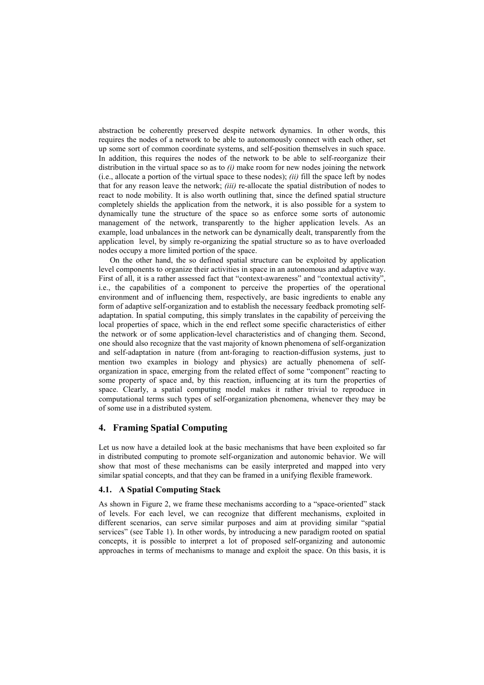abstraction be coherently preserved despite network dynamics. In other words, this requires the nodes of a network to be able to autonomously connect with each other, set up some sort of common coordinate systems, and self-position themselves in such space. In addition, this requires the nodes of the network to be able to self-reorganize their distribution in the virtual space so as to *(i)* make room for new nodes joining the network (i.e., allocate a portion of the virtual space to these nodes); *(ii)* fill the space left by nodes that for any reason leave the network; *(iii)* re-allocate the spatial distribution of nodes to react to node mobility. It is also worth outlining that, since the defined spatial structure completely shields the application from the network, it is also possible for a system to dynamically tune the structure of the space so as enforce some sorts of autonomic management of the network, transparently to the higher application levels. As an example, load unbalances in the network can be dynamically dealt, transparently from the application level, by simply re-organizing the spatial structure so as to have overloaded nodes occupy a more limited portion of the space.

On the other hand, the so defined spatial structure can be exploited by application level components to organize their activities in space in an autonomous and adaptive way. First of all, it is a rather assessed fact that "context-awareness" and "contextual activity", i.e., the capabilities of a component to perceive the properties of the operational environment and of influencing them, respectively, are basic ingredients to enable any form of adaptive self-organization and to establish the necessary feedback promoting selfadaptation. In spatial computing, this simply translates in the capability of perceiving the local properties of space, which in the end reflect some specific characteristics of either the network or of some application-level characteristics and of changing them. Second, one should also recognize that the vast majority of known phenomena of self-organization and self-adaptation in nature (from ant-foraging to reaction-diffusion systems, just to mention two examples in biology and physics) are actually phenomena of selforganization in space, emerging from the related effect of some "component" reacting to some property of space and, by this reaction, influencing at its turn the properties of space. Clearly, a spatial computing model makes it rather trivial to reproduce in computational terms such types of self-organization phenomena, whenever they may be of some use in a distributed system.

### **4. Framing Spatial Computing**

Let us now have a detailed look at the basic mechanisms that have been exploited so far in distributed computing to promote self-organization and autonomic behavior. We will show that most of these mechanisms can be easily interpreted and mapped into very similar spatial concepts, and that they can be framed in a unifying flexible framework.

#### **4.1. A Spatial Computing Stack**

As shown in Figure 2, we frame these mechanisms according to a "space-oriented" stack of levels. For each level, we can recognize that different mechanisms, exploited in different scenarios, can serve similar purposes and aim at providing similar "spatial services" (see Table 1). In other words, by introducing a new paradigm rooted on spatial concepts, it is possible to interpret a lot of proposed self-organizing and autonomic approaches in terms of mechanisms to manage and exploit the space. On this basis, it is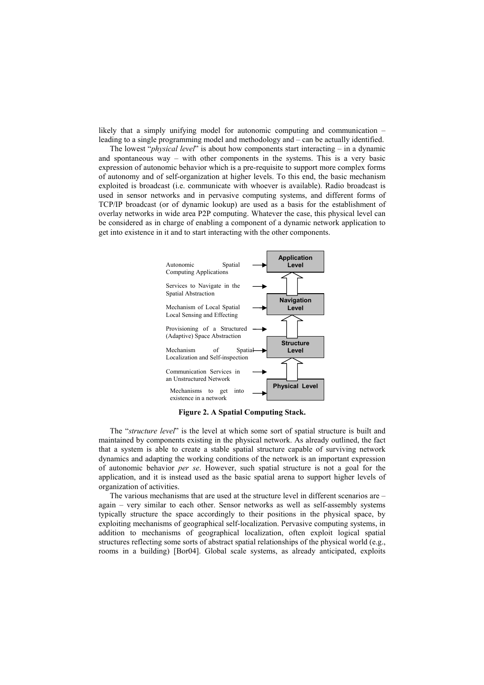likely that a simply unifying model for autonomic computing and communication – leading to a single programming model and methodology and – can be actually identified.

The lowest "*physical level*" is about how components start interacting – in a dynamic and spontaneous way – with other components in the systems. This is a very basic expression of autonomic behavior which is a pre-requisite to support more complex forms of autonomy and of self-organization at higher levels. To this end, the basic mechanism exploited is broadcast (i.e. communicate with whoever is available). Radio broadcast is used in sensor networks and in pervasive computing systems, and different forms of TCP/IP broadcast (or of dynamic lookup) are used as a basis for the establishment of overlay networks in wide area P2P computing. Whatever the case, this physical level can be considered as in charge of enabling a component of a dynamic network application to get into existence in it and to start interacting with the other components.



**Figure 2. A Spatial Computing Stack.** 

The "*structure level*" is the level at which some sort of spatial structure is built and maintained by components existing in the physical network. As already outlined, the fact that a system is able to create a stable spatial structure capable of surviving network dynamics and adapting the working conditions of the network is an important expression of autonomic behavior *per se*. However, such spatial structure is not a goal for the application, and it is instead used as the basic spatial arena to support higher levels of organization of activities.

The various mechanisms that are used at the structure level in different scenarios are – again – very similar to each other. Sensor networks as well as self-assembly systems typically structure the space accordingly to their positions in the physical space, by exploiting mechanisms of geographical self-localization. Pervasive computing systems, in addition to mechanisms of geographical localization, often exploit logical spatial structures reflecting some sorts of abstract spatial relationships of the physical world (e.g., rooms in a building) [Bor04]. Global scale systems, as already anticipated, exploits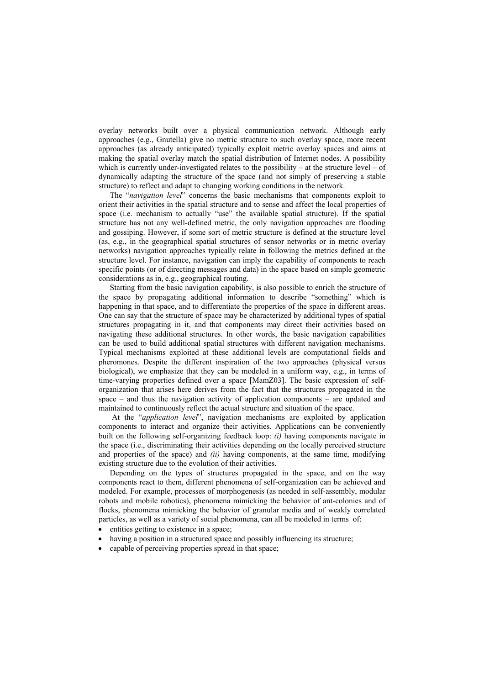overlay networks built over a physical communication network. Although early approaches (e.g., Gnutella) give no metric structure to such overlay space, more recent approaches (as already anticipated) typically exploit metric overlay spaces and aims at making the spatial overlay match the spatial distribution of Internet nodes. A possibility which is currently under-investigated relates to the possibility – at the structure level – of dynamically adapting the structure of the space (and not simply of preserving a stable structure) to reflect and adapt to changing working conditions in the network.

The "*navigation level*" concerns the basic mechanisms that components exploit to orient their activities in the spatial structure and to sense and affect the local properties of space (i.e. mechanism to actually "use" the available spatial structure). If the spatial structure has not any well-defined metric, the only navigation approaches are flooding and gossiping. However, if some sort of metric structure is defined at the structure level (as, e.g., in the geographical spatial structures of sensor networks or in metric overlay networks) navigation approaches typically relate in following the metrics defined at the structure level. For instance, navigation can imply the capability of components to reach specific points (or of directing messages and data) in the space based on simple geometric considerations as in, e.g., geographical routing.

Starting from the basic navigation capability, is also possible to enrich the structure of the space by propagating additional information to describe "something" which is happening in that space, and to differentiate the properties of the space in different areas. One can say that the structure of space may be characterized by additional types of spatial structures propagating in it, and that components may direct their activities based on navigating these additional structures. In other words, the basic navigation capabilities can be used to build additional spatial structures with different navigation mechanisms. Typical mechanisms exploited at these additional levels are computational fields and pheromones. Despite the different inspiration of the two approaches (physical versus biological), we emphasize that they can be modeled in a uniform way, e.g., in terms of time-varying properties defined over a space [MamZ03]. The basic expression of selforganization that arises here derives from the fact that the structures propagated in the space – and thus the navigation activity of application components – are updated and maintained to continuously reflect the actual structure and situation of the space.

 At the "*application level*", navigation mechanisms are exploited by application components to interact and organize their activities. Applications can be conveniently built on the following self-organizing feedback loop: *(i)* having components navigate in the space (i.e., discriminating their activities depending on the locally perceived structure and properties of the space) and *(ii)* having components, at the same time, modifying existing structure due to the evolution of their activities.

Depending on the types of structures propagated in the space, and on the way components react to them, different phenomena of self-organization can be achieved and modeled. For example, processes of morphogenesis (as needed in self-assembly, modular robots and mobile robotics), phenomena mimicking the behavior of ant-colonies and of flocks, phenomena mimicking the behavior of granular media and of weakly correlated particles, as well as a variety of social phenomena, can all be modeled in terms of:

- entities getting to existence in a space;
- having a position in a structured space and possibly influencing its structure;
- capable of perceiving properties spread in that space;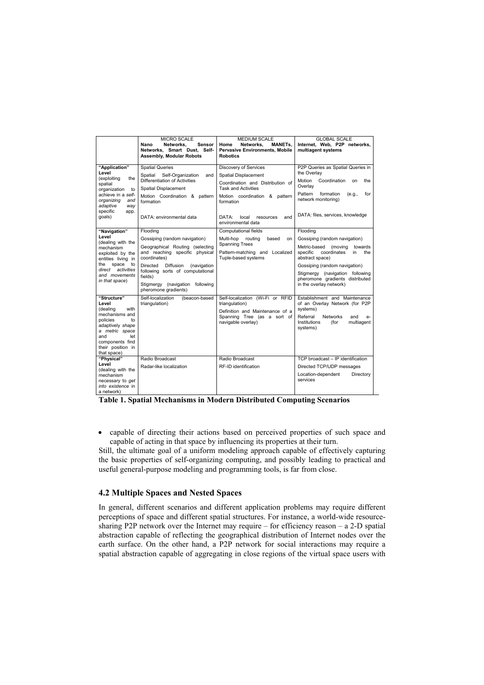|                                                                                                                                                                                         | MICRO SCALE<br>Sensor<br>Nano<br>Networks.<br>Networks, Smart Dust, Self-<br><b>Assembly, Modular Robots</b>                                                                                                                                                                     | MEDIUM SCALE<br>Networks.<br><b>MANETs.</b><br>Home<br><b>Pervasive Environments, Mobile</b><br><b>Robotics</b>                                                                                                           | <b>GLOBAL SCALE</b><br>Internet, Web, P2P networks,<br>multiagent systems                                                                                                                                                                                                    |
|-----------------------------------------------------------------------------------------------------------------------------------------------------------------------------------------|----------------------------------------------------------------------------------------------------------------------------------------------------------------------------------------------------------------------------------------------------------------------------------|---------------------------------------------------------------------------------------------------------------------------------------------------------------------------------------------------------------------------|------------------------------------------------------------------------------------------------------------------------------------------------------------------------------------------------------------------------------------------------------------------------------|
| "Application"<br>Level<br>(exploiting<br>the<br>spatial<br>organization<br>to<br>achieve in a self-<br>organizing<br>and<br>adaptive<br>way<br>specific<br>app.<br>goals)               | <b>Spatial Queries</b><br>Spatial<br>Self-Organization<br>and<br>Differentiation of Activities<br>Spatial Displacement<br>Motion Coordination & pattern<br>formation<br>DATA: environmental data                                                                                 | Discovery of Services<br>Spatial Displacement<br>Coordination and Distribution of<br><b>Task and Activities</b><br>Motion coordination & pattern<br>formation<br>DATA:<br>local<br>resources<br>and<br>environmental data | P2P Queries as Spatial Queries in<br>the Overlav<br>Motion<br>Coordination on<br>the<br>Overlay<br>Pattern<br>formation<br>for<br>(e.g.,<br>network monitoring)<br>DATA: files, services, knowledge                                                                          |
| "Navigation"<br>Level<br>(dealing with the<br>mechanism<br>exploited by the<br>entities living in<br>space<br>the<br>to<br>direct activities<br>and movements<br>in that space)         | Flooding<br>Gossiping (random navigation)<br>Geographical Routing (selecting<br>and reaching specific physical<br>coordinates)<br>Directed<br>Diffusion<br>(navigation<br>following sorts of computational<br>fields)<br>Stigmergy (navigation following<br>pheromone gradients) | Computational fields<br>Multi-hop<br>routina<br>based<br>on<br>Spanning Trees<br>Pattern-matching and Localized<br>Tuple-based systems                                                                                    | Flooding<br>Gossiping (random navigation)<br>Metric-based<br>(moving<br>towards<br>specific<br>coordinates<br>the<br>in<br>abstract space)<br>Gossiping (random navigation)<br>Stigmergy (navigation following<br>pheromone gradients distributed<br>in the overlay network) |
| "Structure"<br>Level<br>(dealing<br>with<br>mechanisms and<br>policies<br>to<br>adaptively shape<br>a metric space<br>and<br>let<br>components find<br>their position in<br>that space) | Self-localization<br>(beacon-based<br>triangulation)                                                                                                                                                                                                                             | Self-localization (Wi-Fi or RFID<br>triangulation)<br>Definition and Maintenance of a<br>Spanning Tree (as a sort of<br>navigable overlay)                                                                                | Establishment and Maintenance<br>of an Overlay Network (for P2P<br>systems)<br>Referral<br><b>Networks</b><br>and<br>$e-$<br>Institutions<br>(for<br>multiagent<br>systems)                                                                                                  |
| "Physical"<br>Level<br>(dealing with the<br>mechanism<br>necessary to get<br>into existence in                                                                                          | Radio Broadcast<br>Radar-like localization                                                                                                                                                                                                                                       | Radio Broadcast<br>RF-ID identification                                                                                                                                                                                   | TCP broadcast - IP identification<br>Directed TCP/UDP messages<br>Location-dependent<br>Directory<br>services                                                                                                                                                                |

a network) **Table 1. Spatial Mechanisms in Modern Distributed Computing Scenarios** 

• capable of directing their actions based on perceived properties of such space and capable of acting in that space by influencing its properties at their turn.

Still, the ultimate goal of a uniform modeling approach capable of effectively capturing the basic properties of self-organizing computing, and possibly leading to practical and useful general-purpose modeling and programming tools, is far from close.

#### **4.2 Multiple Spaces and Nested Spaces**

In general, different scenarios and different application problems may require different perceptions of space and different spatial structures. For instance, a world-wide resourcesharing P2P network over the Internet may require – for efficiency reason – a 2-D spatial abstraction capable of reflecting the geographical distribution of Internet nodes over the earth surface. On the other hand, a P2P network for social interactions may require a spatial abstraction capable of aggregating in close regions of the virtual space users with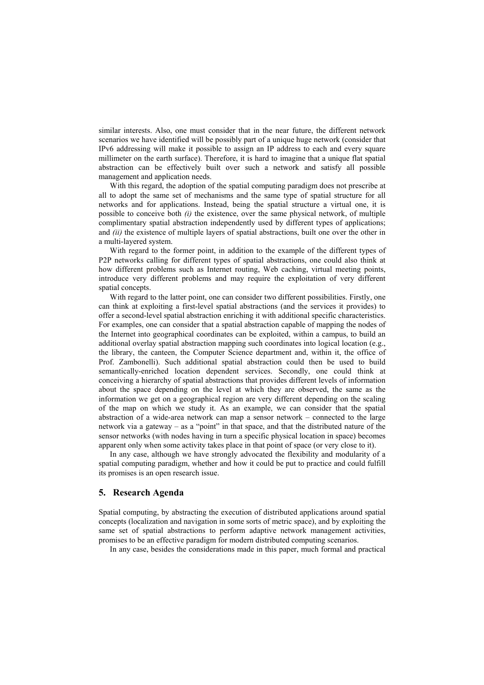similar interests. Also, one must consider that in the near future, the different network scenarios we have identified will be possibly part of a unique huge network (consider that IPv6 addressing will make it possible to assign an IP address to each and every square millimeter on the earth surface). Therefore, it is hard to imagine that a unique flat spatial abstraction can be effectively built over such a network and satisfy all possible management and application needs.

With this regard, the adoption of the spatial computing paradigm does not prescribe at all to adopt the same set of mechanisms and the same type of spatial structure for all networks and for applications. Instead, being the spatial structure a virtual one, it is possible to conceive both *(i)* the existence, over the same physical network, of multiple complimentary spatial abstraction independently used by different types of applications; and *(ii)* the existence of multiple layers of spatial abstractions, built one over the other in a multi-layered system.

With regard to the former point, in addition to the example of the different types of P2P networks calling for different types of spatial abstractions, one could also think at how different problems such as Internet routing, Web caching, virtual meeting points, introduce very different problems and may require the exploitation of very different spatial concepts.

With regard to the latter point, one can consider two different possibilities. Firstly, one can think at exploiting a first-level spatial abstractions (and the services it provides) to offer a second-level spatial abstraction enriching it with additional specific characteristics. For examples, one can consider that a spatial abstraction capable of mapping the nodes of the Internet into geographical coordinates can be exploited, within a campus, to build an additional overlay spatial abstraction mapping such coordinates into logical location (e.g., the library, the canteen, the Computer Science department and, within it, the office of Prof. Zambonelli). Such additional spatial abstraction could then be used to build semantically-enriched location dependent services. Secondly, one could think at conceiving a hierarchy of spatial abstractions that provides different levels of information about the space depending on the level at which they are observed, the same as the information we get on a geographical region are very different depending on the scaling of the map on which we study it. As an example, we can consider that the spatial abstraction of a wide-area network can map a sensor network – connected to the large network via a gateway – as a "point" in that space, and that the distributed nature of the sensor networks (with nodes having in turn a specific physical location in space) becomes apparent only when some activity takes place in that point of space (or very close to it).

In any case, although we have strongly advocated the flexibility and modularity of a spatial computing paradigm, whether and how it could be put to practice and could fulfill its promises is an open research issue.

#### **5. Research Agenda**

Spatial computing, by abstracting the execution of distributed applications around spatial concepts (localization and navigation in some sorts of metric space), and by exploiting the same set of spatial abstractions to perform adaptive network management activities, promises to be an effective paradigm for modern distributed computing scenarios.

In any case, besides the considerations made in this paper, much formal and practical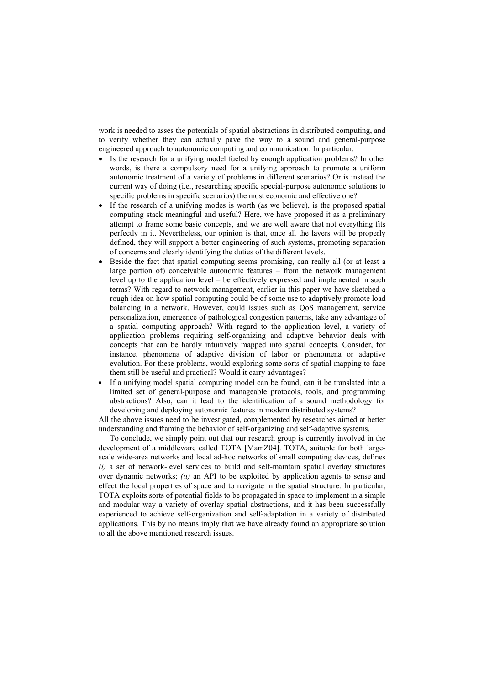work is needed to asses the potentials of spatial abstractions in distributed computing, and to verify whether they can actually pave the way to a sound and general-purpose engineered approach to autonomic computing and communication. In particular:

- Is the research for a unifying model fueled by enough application problems? In other words, is there a compulsory need for a unifying approach to promote a uniform autonomic treatment of a variety of problems in different scenarios? Or is instead the current way of doing (i.e., researching specific special-purpose autonomic solutions to specific problems in specific scenarios) the most economic and effective one?
- If the research of a unifying modes is worth (as we believe), is the proposed spatial computing stack meaningful and useful? Here, we have proposed it as a preliminary attempt to frame some basic concepts, and we are well aware that not everything fits perfectly in it. Nevertheless, our opinion is that, once all the layers will be properly defined, they will support a better engineering of such systems, promoting separation of concerns and clearly identifying the duties of the different levels.
- Beside the fact that spatial computing seems promising, can really all (or at least a large portion of) conceivable autonomic features – from the network management level up to the application level – be effectively expressed and implemented in such terms? With regard to network management, earlier in this paper we have sketched a rough idea on how spatial computing could be of some use to adaptively promote load balancing in a network. However, could issues such as QoS management, service personalization, emergence of pathological congestion patterns, take any advantage of a spatial computing approach? With regard to the application level, a variety of application problems requiring self-organizing and adaptive behavior deals with concepts that can be hardly intuitively mapped into spatial concepts. Consider, for instance, phenomena of adaptive division of labor or phenomena or adaptive evolution. For these problems, would exploring some sorts of spatial mapping to face them still be useful and practical? Would it carry advantages?
- If a unifying model spatial computing model can be found, can it be translated into a limited set of general-purpose and manageable protocols, tools, and programming abstractions? Also, can it lead to the identification of a sound methodology for developing and deploying autonomic features in modern distributed systems?

All the above issues need to be investigated, complemented by researches aimed at better understanding and framing the behavior of self-organizing and self-adaptive systems.

To conclude, we simply point out that our research group is currently involved in the development of a middleware called TOTA [MamZ04]. TOTA, suitable for both largescale wide-area networks and local ad-hoc networks of small computing devices, defines *(i)* a set of network-level services to build and self-maintain spatial overlay structures over dynamic networks; *(ii)* an API to be exploited by application agents to sense and effect the local properties of space and to navigate in the spatial structure. In particular, TOTA exploits sorts of potential fields to be propagated in space to implement in a simple and modular way a variety of overlay spatial abstractions, and it has been successfully experienced to achieve self-organization and self-adaptation in a variety of distributed applications. This by no means imply that we have already found an appropriate solution to all the above mentioned research issues.